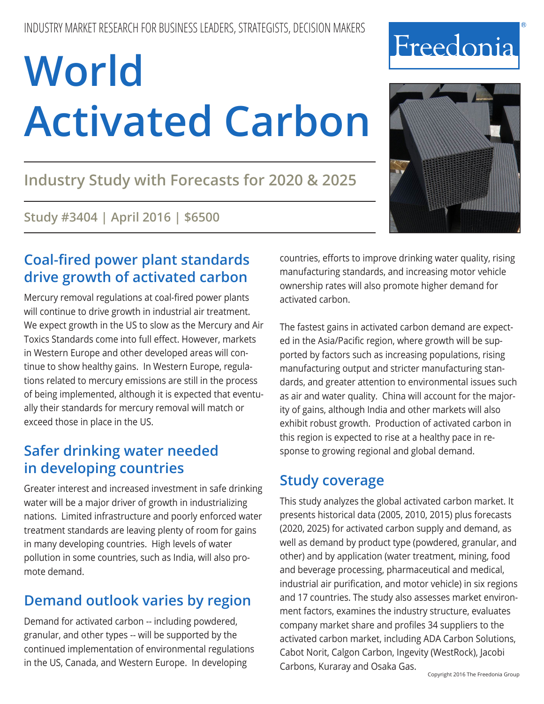## **Industry Study with Forecasts for 2020 & 2025**

### **Study #3404 | April 2016 | \$6500**

## **Coal-fired power plant standards drive growth of activated carbon**

Mercury removal regulations at coal-fired power plants will continue to drive growth in industrial air treatment. We expect growth in the US to slow as the Mercury and Air Toxics Standards come into full effect. However, markets in Western Europe and other developed areas will continue to show healthy gains. In Western Europe, regulations related to mercury emissions are still in the process of being implemented, although it is expected that eventually their standards for mercury removal will match or exceed those in place in the US.

## **Safer drinking water needed in developing countries**

Greater interest and increased investment in safe drinking water will be a major driver of growth in industrializing nations. Limited infrastructure and poorly enforced water treatment standards are leaving plenty of room for gains in many developing countries. High levels of water pollution in some countries, such as India, will also promote demand.

## **Demand outlook varies by region**

Demand for activated carbon -- including powdered, granular, and other types -- will be supported by the continued implementation of environmental regulations in the US, Canada, and Western Europe. In developing

countries, efforts to improve drinking water quality, rising manufacturing standards, and increasing motor vehicle ownership rates will also promote higher demand for activated carbon.

The fastest gains in activated carbon demand are expected in the Asia/Pacific region, where growth will be supported by factors such as increasing populations, rising manufacturing output and stricter manufacturing standards, and greater attention to environmental issues such as air and water quality. China will account for the majority of gains, although India and other markets will also exhibit robust growth. Production of activated carbon in this region is expected to rise at a healthy pace in response to growing regional and global demand.

## **Study coverage**

This study analyzes the global activated carbon market. It presents historical data (2005, 2010, 2015) plus forecasts (2020, 2025) for activated carbon supply and demand, as well as demand by product type (powdered, granular, and other) and by application (water treatment, mining, food and beverage processing, pharmaceutical and medical, industrial air purification, and motor vehicle) in six regions and 17 countries. The study also assesses market environment factors, examines the industry structure, evaluates company market share and profiles 34 suppliers to the activated carbon market, including ADA Carbon Solutions, Cabot Norit, Calgon Carbon, Ingevity (WestRock), Jacobi Carbons, Kuraray and Osaka Gas.



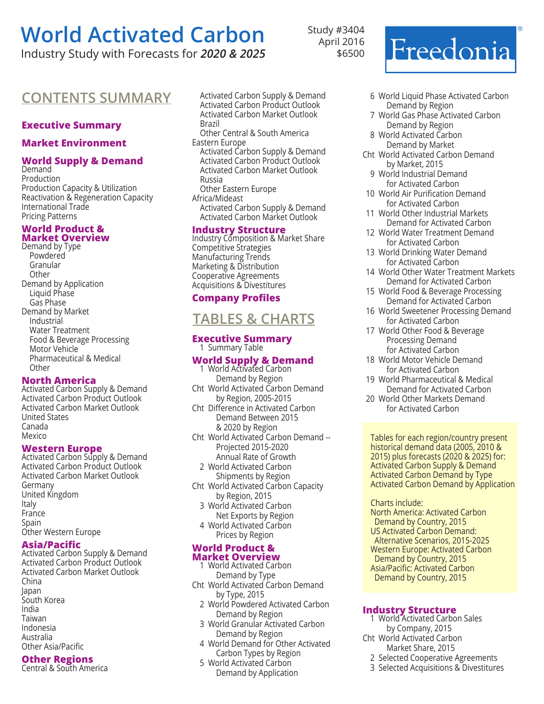Industry Study with Forecasts for *2020 & 2025*

Study #3404 April 2016 \$6500

### **CONTENTS SUMMARY** Activated Carbon Supply & Demand

#### **Executive Summary**

#### **Market Environment**

#### **World Supply & Demand**

Demand Production Production Capacity & Utilization Reactivation & Regeneration Capacity International Trade Pricing Patterns

#### **World Product & Market Overview**

Demand by Type Powdered Granular **Other** Demand by Application Liquid Phase Gas Phase Demand by Market Industrial Water Treatment Food & Beverage Processing Motor Vehicle Pharmaceutical & Medical **Other** 

#### **North America**

Activated Carbon Supply & Demand Activated Carbon Product Outlook Activated Carbon Market Outlook United States Canada Mexico

#### **Western Europe**

Activated Carbon Supply & Demand Activated Carbon Product Outlook Activated Carbon Market Outlook Germany United Kingdom Italy France Spain Other Western Europe

#### **Asia/Pacific**

Activated Carbon Supply & Demand Activated Carbon Product Outlook Activated Carbon Market Outlook China Japan South Korea India Taiwan Indonesia Australia Other Asia/Pacific

#### **Other Regions**

Central & South America

Activated Carbon Product Outlook Activated Carbon Market Outlook Brazil Other Central & South America Eastern Europe Activated Carbon Supply & Demand Activated Carbon Product Outlook Activated Carbon Market Outlook Russia Other Eastern Europe Africa/Mideast Activated Carbon Supply & Demand Activated Carbon Market Outlook

#### **Industry Structure**

Industry Composition & Market Share Competitive Strategies Manufacturing Trends Marketing & Distribution Cooperative Agreements Acquisitions & Divestitures

#### **Company Profiles**

### **tables & charts**

#### **Executive Summary**  1 Summary Table

#### **World Supply & Demand**

- 1 World Activated Carbon Demand by Region Cht World Activated Carbon Demand by Region, 2005-2015 Cht Difference in Activated Carbon Demand Between 2015 & 2020 by Region Cht World Activated Carbon Demand -- Projected 2015-2020 Annual Rate of Growth
- 2 World Activated Carbon Shipments by Region
- Cht World Activated Carbon Capacity by Region, 2015
	- 3 World Activated Carbon Net Exports by Region 4 World Activated Carbon
	- Prices by Region

#### **World Product & Market Overview**

- 1 World Activated Carbon Demand by Type Cht World Activated Carbon Demand
	- by Type, 2015 2 World Powdered Activated Carbon Demand by Region
	- 3 World Granular Activated Carbon Demand by Region
	- 4 World Demand for Other Activated Carbon Types by Region
	- 5 World Activated Carbon
	- Demand by Application

6 World Liquid Phase Activated Carbon Demand by Region

Freedonia

൫

- 7 World Gas Phase Activated Carbon Demand by Region
- 8 World Activated Carbon Demand by Market
- Cht World Activated Carbon Demand by Market, 2015
	- 9 World Industrial Demand for Activated Carbon
- 10 World Air Purification Demand for Activated Carbon
- 11 World Other Industrial Markets Demand for Activated Carbon
- 12 World Water Treatment Demand for Activated Carbon
- 13 World Drinking Water Demand for Activated Carbon
- 14 World Other Water Treatment Markets Demand for Activated Carbon
- 15 World Food & Beverage Processing Demand for Activated Carbon
- 16 World Sweetener Processing Demand for Activated Carbon
- 17 World Other Food & Beverage Processing Demand for Activated Carbon
- 18 World Motor Vehicle Demand for Activated Carbon
- 19 World Pharmaceutical & Medical Demand for Activated Carbon
- 20 World Other Markets Demand for Activated Carbon

Tables for each region/country present historical demand data (2005, 2010 & 2015) plus forecasts (2020 & 2025) for: Activated Carbon Supply & Demand Activated Carbon Demand by Type Activated Carbon Demand by Application

#### Charts include:

North America: Activated Carbon Demand by Country, 2015 US Activated Carbon Demand: Alternative Scenarios, 2015-2025 Western Europe: Activated Carbon Demand by Country, 2015 Asia/Pacific: Activated Carbon Demand by Country, 2015

#### **Industry Structure**

- 1 World Activated Carbon Sales by Company, 2015
- Cht World Activated Carbon Market Share, 2015
	- 2 Selected Cooperative Agreements
	- 3 Selected Acquisitions & Divestitures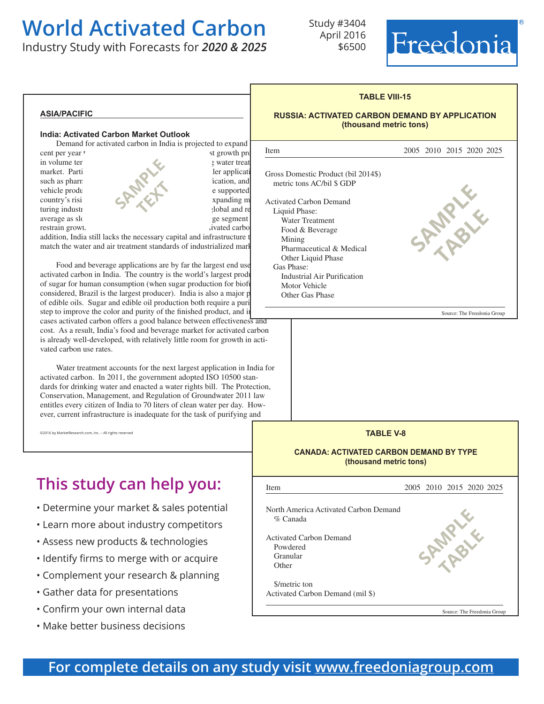Industry Study with Forecasts for *2020 & 2025*

Study #3404 April 2016 \$6500



#### **asia/pacific**

#### **India: Activated Carbon Market Outlook**

Demand for activated carbon in India is projected to expand  $\begin{array}{c} \hline \text{matrix} \\ \text{matrix} \end{array}$ 

restrain growt.  $\blacksquare$  in the country's overall matrix  $\blacksquare$  in the country's overall matrix  $\blacksquare$ 

cent per year to 110,000 metric to 110,000 metric to 110,000 metric to 110,000 metric tons in 2020. The best growth prospects and  $\frac{1}{2}$ in volume terms are expected in the country's growing water treatment in the country's growing water treatment market. Particularly rapid growth in smaller applications are the smaller applications of the smaller applications of the smaller applications of the smaller applications of the smaller applications of the smaller applicat such as pharm<br>and motor such as pharmaceutical processing, industrial and motor such and motor such and motor such and motor such and motor such and motor such and motor such and motor such and motor such and motor such an vehicle production. While increases in demand with the supported by the supported by the supported by the supported by the supported by the supported by the supported by the supported by the supported by the supported by t turing industries, and the global and regional state  $\sim$ average as slow gains in India's large segment general segment will be very segment will be very segment will be very segment will be very segment of  $\mathbb{R}^n$ **SAMPLE text** 

addition, India still lacks the necessary capital and infrastructure t match the water and air treatment standards of industrialized mark

Food and beverage applications are by far the largest end use activated carbon in India. The country is the world's largest produ of sugar for human consumption (when sugar production for biofu considered, Brazil is the largest producer). India is also a major p of edible oils. Sugar and edible oil production both require a puri step to improve the color and purity of the finished product, and in cases activated carbon offers a good balance between effectiveness and cost. As a result, India's food and beverage market for activated carbon is already well-developed, with relatively little room for growth in activated carbon use rates.

 Water treatment accounts for the next largest application in India for activated carbon. In 2011, the government adopted ISO 10500 standards for drinking water and enacted a water rights bill. The Protection, Conservation, Management, and Regulation of Groundwater 2011 law entitles every citizen of India to 70 liters of clean water per day. However, current infrastructure is inadequate for the task of purifying and

©2016 by MarketResearch.com, Inc. – All rights reserved

## **This study can help you:**

- Determine your market & sales potential
- Learn more about industry competitors
- Assess new products & technologies
- Identify firms to merge with or acquire
- Complement your research & planning
- Gather data for presentations
- Confirm your own internal data
- Make better business decisions



**TABLE VIII-15**

**RUSSIA: ACTIVATED CARBON DEMAND BY APPLICATION**

#### **TABLE V-8 CANADA: ACTIVATED CARBON DEMAND BY TYPE (thousand metric tons)** Ļ Item 2005 2010 2015 2020 2025 North America Activated Carbon Demand % Canada Activated Carbon Demand Powdered Granular **Other**  \$/metric ton Activated Carbon Demand (mil \$) Source: The Freedonia Group **SPARALE table**

### **For complete details on any study visit [www.freedoniagroup.com](http://www.freedoniagroup.com/Home.aspx?ReferrerId=FM-BRO)**